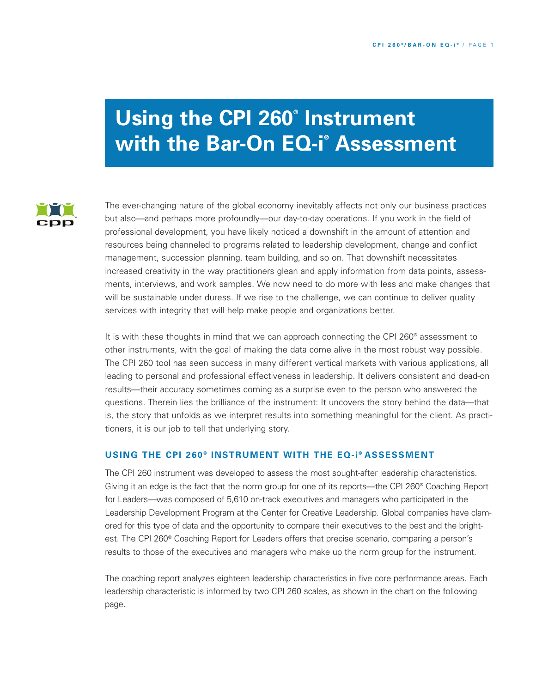# **Using the CPI 260® Instrument with the Bar-On EQ-i ® Assessment**



The ever-changing nature of the global economy inevitably affects not only our business practices but also—and perhaps more profoundly—our day-to-day operations. If you work in the field of professional development, you have likely noticed a downshift in the amount of attention and resources being channeled to programs related to leadership development, change and conflict management, succession planning, team building, and so on. That downshift necessitates increased creativity in the way practitioners glean and apply information from data points, assessments, interviews, and work samples. We now need to do more with less and make changes that will be sustainable under duress. If we rise to the challenge, we can continue to deliver quality services with integrity that will help make people and organizations better.

It is with these thoughts in mind that we can approach connecting the CPI 260<sup>®</sup> assessment to other instruments, with the goal of making the data come alive in the most robust way possible. The CPI 260 tool has seen success in many different vertical markets with various applications, all leading to personal and professional effectiveness in leadership. It delivers consistent and dead-on results—their accuracy sometimes coming as a surprise even to the person who answered the questions. Therein lies the brilliance of the instrument: It uncovers the story behind the data—that is, the story that unfolds as we interpret results into something meaningful for the client. As practitioners, it is our job to tell that underlying story.

# **USING THE CPI 260 ® INSTRUMENT WITH THE EQ-i ® ASSESSMENT**

The CPI 260 instrument was developed to assess the most sought-after leadership characteristics. Giving it an edge is the fact that the norm group for one of its reports—the CPI 260® Coaching Report for Leaders—was composed of 5,610 on-track executives and managers who participated in the Leadership Development Program at the Center for Creative Leadership. Global companies have clamored for this type of data and the opportunity to compare their executives to the best and the brightest. The CPI 260® Coaching Report for Leaders offers that precise scenario, comparing a person's results to those of the executives and managers who make up the norm group for the instrument.

The coaching report analyzes eighteen leadership characteristics in five core performance areas. Each leadership characteristic is informed by two CPI 260 scales, as shown in the chart on the following page.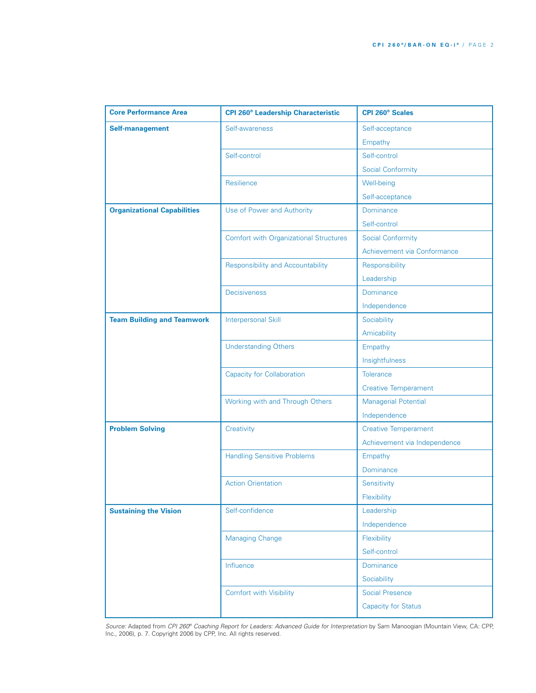| <b>Core Performance Area</b>       | <b>CPI 260<sup>®</sup> Leadership Characteristic</b> | <b>CPI 260<sup>®</sup> Scales</b> |
|------------------------------------|------------------------------------------------------|-----------------------------------|
| <b>Self-management</b>             | Self-awareness                                       | Self-acceptance                   |
|                                    |                                                      | Empathy                           |
|                                    | Self-control                                         | Self-control                      |
|                                    |                                                      | <b>Social Conformity</b>          |
|                                    | Resilience                                           | Well-being                        |
|                                    |                                                      | Self-acceptance                   |
| <b>Organizational Capabilities</b> | Use of Power and Authority                           | Dominance                         |
|                                    |                                                      | Self-control                      |
|                                    | <b>Comfort with Organizational Structures</b>        | <b>Social Conformity</b>          |
|                                    |                                                      | Achievement via Conformance       |
|                                    | <b>Responsibility and Accountability</b>             | Responsibility                    |
|                                    |                                                      | Leadership                        |
|                                    | <b>Decisiveness</b>                                  | Dominance                         |
|                                    |                                                      | Independence                      |
| <b>Team Building and Teamwork</b>  | <b>Interpersonal Skill</b>                           | Sociability                       |
|                                    |                                                      | Amicability                       |
|                                    | <b>Understanding Others</b>                          | Empathy                           |
|                                    |                                                      | Insightfulness                    |
|                                    | <b>Capacity for Collaboration</b>                    | <b>Tolerance</b>                  |
|                                    |                                                      | <b>Creative Temperament</b>       |
|                                    | Working with and Through Others                      | <b>Managerial Potential</b>       |
|                                    |                                                      | Independence                      |
| <b>Problem Solving</b>             | Creativity                                           | <b>Creative Temperament</b>       |
|                                    |                                                      | Achievement via Independence      |
|                                    | <b>Handling Sensitive Problems</b>                   | Empathy                           |
|                                    |                                                      | Dominance                         |
|                                    | <b>Action Orientation</b>                            | Sensitivity                       |
|                                    |                                                      | Flexibility                       |
| <b>Sustaining the Vision</b>       | Self-confidence                                      | Leadership                        |
|                                    |                                                      | Independence                      |
|                                    | <b>Managing Change</b>                               | Flexibility                       |
|                                    |                                                      | Self-control                      |
|                                    | Influence                                            | <b>Dominance</b>                  |
|                                    |                                                      | Sociability                       |
|                                    | <b>Comfort with Visibility</b>                       | <b>Social Presence</b>            |
|                                    |                                                      | <b>Capacity for Status</b>        |

*Source:* Adapted from *CPI 260® Coaching Report for Leaders: Advanced Guide for Interpretation* by Sam Manoogian (Mountain View, CA: CPP, Inc., 2006), p. 7. Copyright 2006 by CPP, Inc. All rights reserved.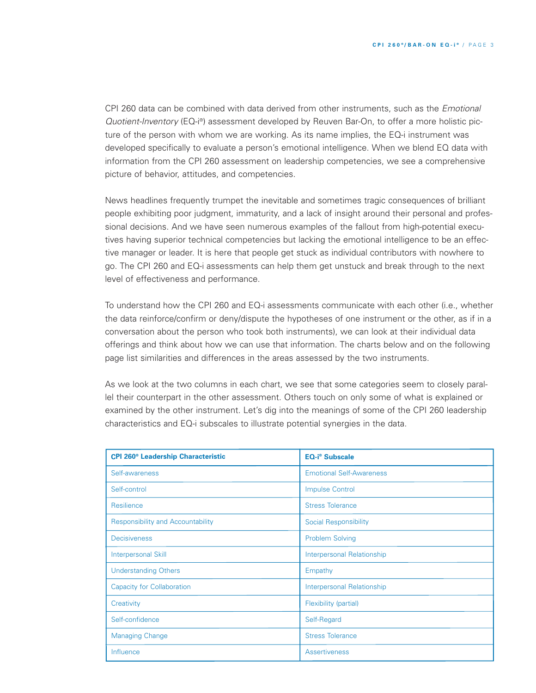CPI 260 data can be combined with data derived from other instruments, such as the *Emotional Quotient-Inventory* (EQ-i ®) assessment developed by Reuven Bar-On, to offer a more holistic picture of the person with whom we are working. As its name implies, the EQ-i instrument was developed specifically to evaluate a person's emotional intelligence. When we blend EQ data with information from the CPI 260 assessment on leadership competencies, we see a comprehensive picture of behavior, attitudes, and competencies.

News headlines frequently trumpet the inevitable and sometimes tragic consequences of brilliant people exhibiting poor judgment, immaturity, and a lack of insight around their personal and professional decisions. And we have seen numerous examples of the fallout from high-potential executives having superior technical competencies but lacking the emotional intelligence to be an effective manager or leader. It is here that people get stuck as individual contributors with nowhere to go. The CPI 260 and EQ-i assessments can help them get unstuck and break through to the next level of effectiveness and performance.

To understand how the CPI 260 and EQ-i assessments communicate with each other (i.e., whether the data reinforce/confirm or deny/dispute the hypotheses of one instrument or the other, as if in a conversation about the person who took both instruments), we can look at their individual data offerings and think about how we can use that information. The charts below and on the following page list similarities and differences in the areas assessed by the two instruments.

As we look at the two columns in each chart, we see that some categories seem to closely parallel their counterpart in the other assessment. Others touch on only some of what is explained or examined by the other instrument. Let's dig into the meanings of some of the CPI 260 leadership characteristics and EQ-i subscales to illustrate potential synergies in the data.

| <b>CPI 260<sup>®</sup> Leadership Characteristic</b> | <b>EQ-i<sup>®</sup></b> Subscale |
|------------------------------------------------------|----------------------------------|
| Self-awareness                                       | <b>Emotional Self-Awareness</b>  |
| Self-control                                         | <b>Impulse Control</b>           |
| Resilience                                           | <b>Stress Tolerance</b>          |
| <b>Responsibility and Accountability</b>             | <b>Social Responsibility</b>     |
| <b>Decisiveness</b>                                  | <b>Problem Solving</b>           |
| <b>Interpersonal Skill</b>                           | Interpersonal Relationship       |
| <b>Understanding Others</b>                          | Empathy                          |
| <b>Capacity for Collaboration</b>                    | Interpersonal Relationship       |
| Creativity                                           | Flexibility (partial)            |
| Self-confidence                                      | Self-Regard                      |
| <b>Managing Change</b>                               | <b>Stress Tolerance</b>          |
| Influence                                            | <b>Assertiveness</b>             |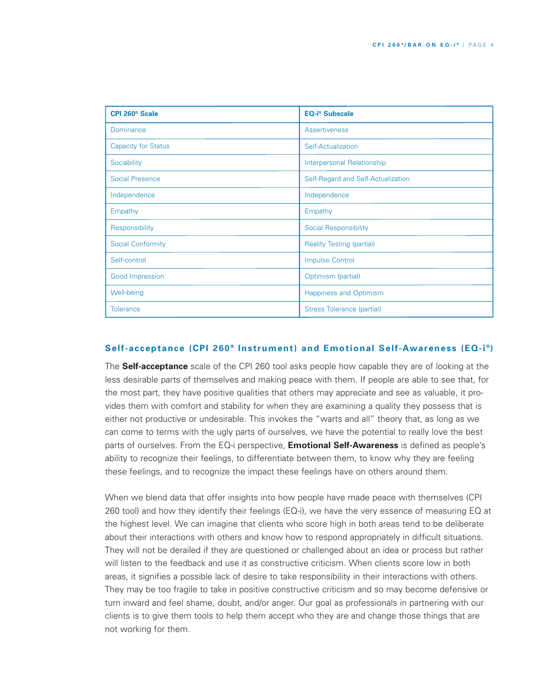| <b>CPI 260<sup>®</sup> Scale</b> | <b>EQ-i<sup>®</sup> Subscale</b>   |
|----------------------------------|------------------------------------|
| Dominance                        | <b>Assertiveness</b>               |
| <b>Capacity for Status</b>       | Self-Actualization                 |
| Sociability                      | <b>Interpersonal Relationship</b>  |
| Social Presence                  | Self-Regard and Self-Actualization |
| Independence                     | Independence                       |
| Empathy                          | Empathy                            |
| Responsibility                   | <b>Social Responsibility</b>       |
| Social Conformity                | <b>Reality Testing (partial)</b>   |
| Self-control                     | <b>Impulse Control</b>             |
| Good Impression                  | Optimism (partial)                 |
| Well-being                       | <b>Happiness and Optimism</b>      |
| <b>Tolerance</b>                 | Stress Tolerance (partial)         |

# **Self-acceptance (CPI 260 ® Instrument) and Emotional Self-Awareness (EQ-i ®)**

The **Self-acceptance** scale of the CPI 260 tool asks people how capable they are of looking at the less desirable parts of themselves and making peace with them. If people are able to see that, for the most part, they have positive qualities that others may appreciate and see as valuable, it provides them with comfort and stability for when they are examining a quality they possess that is either not productive or undesirable. This invokes the "warts and all" theory that, as long as we can come to terms with the ugly parts of ourselves, we have the potential to really love the best parts of ourselves. From the EQ-i perspective, **Emotional Self-Awareness** is defined as people's ability to recognize their feelings, to differentiate between them, to know why they are feeling these feelings, and to recognize the impact these feelings have on others around them.

When we blend data that offer insights into how people have made peace with themselves (CPI 260 tool) and how they identify their feelings (EQ-i), we have the very essence of measuring EQ at the highest level. We can imagine that clients who score high in both areas tend to be deliberate about their interactions with others and know how to respond appropriately in difficult situations. They will not be derailed if they are questioned or challenged about an idea or process but rather will listen to the feedback and use it as constructive criticism. When clients score low in both areas, it signifies a possible lack of desire to take responsibility in their interactions with others. They may be too fragile to take in positive constructive criticism and so may become defensive or turn inward and feel shame, doubt, and/or anger. Our goal as professionals in partnering with our clients is to give them tools to help them accept who they are and change those things that are not working for them.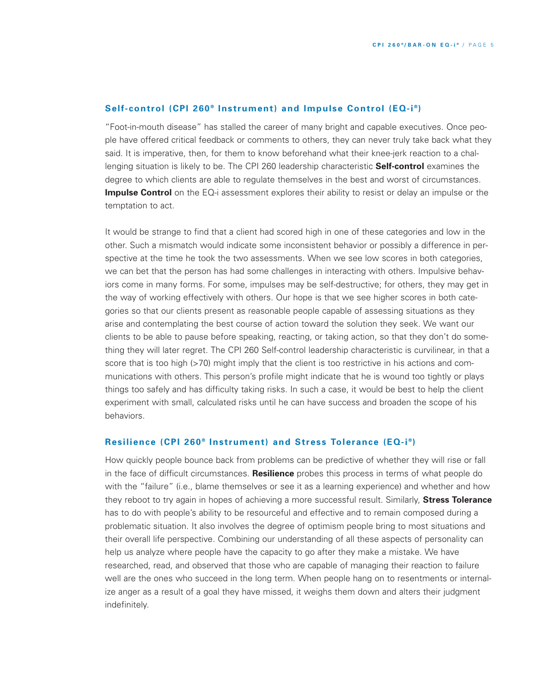### **Self-control (CPI 260 ® Instrument) and Impulse Control (EQ-i ®)**

"Foot-in-mouth disease" has stalled the career of many bright and capable executives. Once people have offered critical feedback or comments to others, they can never truly take back what they said. It is imperative, then, for them to know beforehand what their knee-jerk reaction to a challenging situation is likely to be. The CPI 260 leadership characteristic **Self-control** examines the degree to which clients are able to regulate themselves in the best and worst of circumstances. **Impulse Control** on the EQ-i assessment explores their ability to resist or delay an impulse or the temptation to act.

It would be strange to find that a client had scored high in one of these categories and low in the other. Such a mismatch would indicate some inconsistent behavior or possibly a difference in perspective at the time he took the two assessments. When we see low scores in both categories, we can bet that the person has had some challenges in interacting with others. Impulsive behaviors come in many forms. For some, impulses may be self-destructive; for others, they may get in the way of working effectively with others. Our hope is that we see higher scores in both categories so that our clients present as reasonable people capable of assessing situations as they arise and contemplating the best course of action toward the solution they seek. We want our clients to be able to pause before speaking, reacting, or taking action, so that they don't do something they will later regret. The CPI 260 Self-control leadership characteristic is curvilinear, in that a score that is too high (>70) might imply that the client is too restrictive in his actions and communications with others. This person's profile might indicate that he is wound too tightly or plays things too safely and has difficulty taking risks. In such a case, it would be best to help the client experiment with small, calculated risks until he can have success and broaden the scope of his behaviors.

### **Resilience (CPI 260 ® Instrument) and Stress Tolerance (EQ-i ®)**

How quickly people bounce back from problems can be predictive of whether they will rise or fall in the face of difficult circumstances. **Resilience** probes this process in terms of what people do with the "failure" (i.e., blame themselves or see it as a learning experience) and whether and how they reboot to try again in hopes of achieving a more successful result. Similarly, **Stress Tolerance** has to do with people's ability to be resourceful and effective and to remain composed during a problematic situation. It also involves the degree of optimism people bring to most situations and their overall life perspective. Combining our understanding of all these aspects of personality can help us analyze where people have the capacity to go after they make a mistake. We have researched, read, and observed that those who are capable of managing their reaction to failure well are the ones who succeed in the long term. When people hang on to resentments or internalize anger as a result of a goal they have missed, it weighs them down and alters their judgment indefinitely.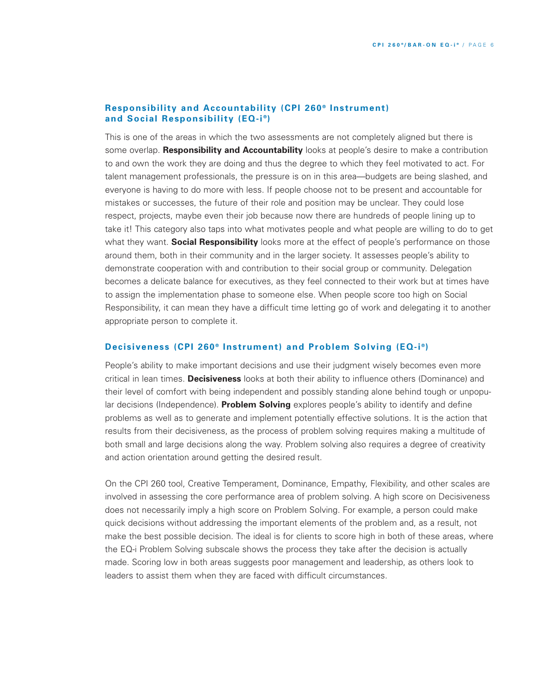## **Responsibility and Accountability (CPI 260 ® Instrument) and Social Responsibility (EQ-i ®)**

This is one of the areas in which the two assessments are not completely aligned but there is some overlap. **Responsibility and Accountability** looks at people's desire to make a contribution to and own the work they are doing and thus the degree to which they feel motivated to act. For talent management professionals, the pressure is on in this area—budgets are being slashed, and everyone is having to do more with less. If people choose not to be present and accountable for mistakes or successes, the future of their role and position may be unclear. They could lose respect, projects, maybe even their job because now there are hundreds of people lining up to take it! This category also taps into what motivates people and what people are willing to do to get what they want. **Social Responsibility** looks more at the effect of people's performance on those around them, both in their community and in the larger society. It assesses people's ability to demonstrate cooperation with and contribution to their social group or community. Delegation becomes a delicate balance for executives, as they feel connected to their work but at times have to assign the implementation phase to someone else. When people score too high on Social Responsibility, it can mean they have a difficult time letting go of work and delegating it to another appropriate person to complete it.

# **Decisiveness (CPI 260 ® Instrument) and Problem Solving (EQ-i ®)**

People's ability to make important decisions and use their judgment wisely becomes even more critical in lean times. **Decisiveness** looks at both their ability to influence others (Dominance) and their level of comfort with being independent and possibly standing alone behind tough or unpopular decisions (Independence). **Problem Solving** explores people's ability to identify and define problems as well as to generate and implement potentially effective solutions. It is the action that results from their decisiveness, as the process of problem solving requires making a multitude of both small and large decisions along the way. Problem solving also requires a degree of creativity and action orientation around getting the desired result.

On the CPI 260 tool, Creative Temperament, Dominance, Empathy, Flexibility, and other scales are involved in assessing the core performance area of problem solving. A high score on Decisiveness does not necessarily imply a high score on Problem Solving. For example, a person could make quick decisions without addressing the important elements of the problem and, as a result, not make the best possible decision. The ideal is for clients to score high in both of these areas, where the EQ-i Problem Solving subscale shows the process they take after the decision is actually made. Scoring low in both areas suggests poor management and leadership, as others look to leaders to assist them when they are faced with difficult circumstances.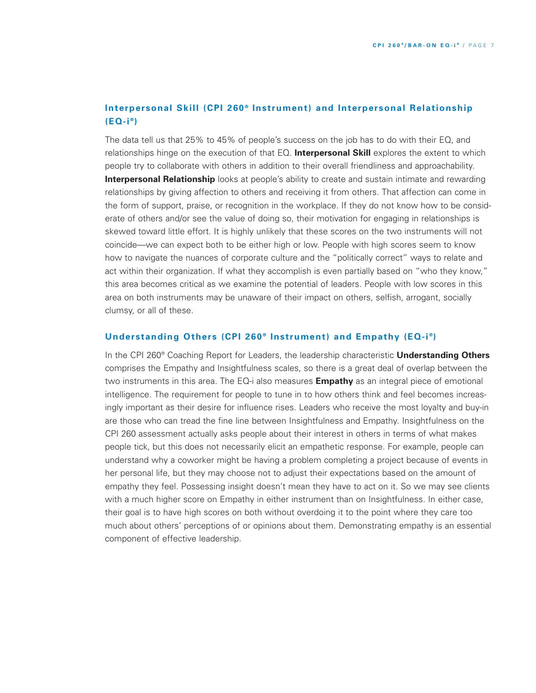# **Interpersonal Skill (CPI 260 ® Instrument) and Interpersonal Relationship (EQ-i ®)**

The data tell us that 25% to 45% of people's success on the job has to do with their EQ, and relationships hinge on the execution of that EQ. **Interpersonal Skill** explores the extent to which people try to collaborate with others in addition to their overall friendliness and approachability. **Interpersonal Relationship** looks at people's ability to create and sustain intimate and rewarding relationships by giving affection to others and receiving it from others. That affection can come in the form of support, praise, or recognition in the workplace. If they do not know how to be considerate of others and/or see the value of doing so, their motivation for engaging in relationships is skewed toward little effort. It is highly unlikely that these scores on the two instruments will not coincide—we can expect both to be either high or low. People with high scores seem to know how to navigate the nuances of corporate culture and the "politically correct" ways to relate and act within their organization. If what they accomplish is even partially based on "who they know," this area becomes critical as we examine the potential of leaders. People with low scores in this area on both instruments may be unaware of their impact on others, selfish, arrogant, socially clumsy, or all of these.

#### **Understanding Others (CPI 260 ® Instrument) and Empathy (EQ-i ®)**

In the CPI 260® Coaching Report for Leaders, the leadership characteristic **Understanding Others** comprises the Empathy and Insightfulness scales, so there is a great deal of overlap between the two instruments in this area. The EQ-i also measures **Empathy** as an integral piece of emotional intelligence. The requirement for people to tune in to how others think and feel becomes increasingly important as their desire for influence rises. Leaders who receive the most loyalty and buy-in are those who can tread the fine line between Insightfulness and Empathy. Insightfulness on the CPI 260 assessment actually asks people about their interest in others in terms of what makes people tick, but this does not necessarily elicit an empathetic response. For example, people can understand why a coworker might be having a problem completing a project because of events in her personal life, but they may choose not to adjust their expectations based on the amount of empathy they feel. Possessing insight doesn't mean they have to act on it. So we may see clients with a much higher score on Empathy in either instrument than on Insightfulness. In either case, their goal is to have high scores on both without overdoing it to the point where they care too much about others' perceptions of or opinions about them. Demonstrating empathy is an essential component of effective leadership.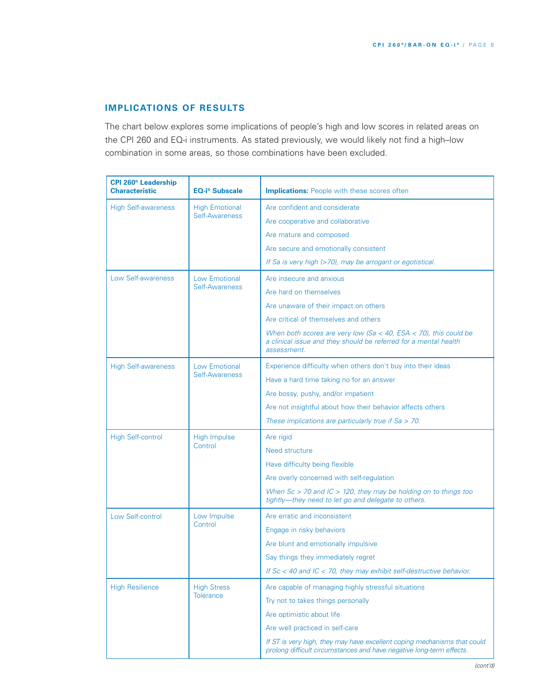# **IMPLICATIONS OF RESULTS**

The chart below explores some implications of people's high and low scores in related areas on the CPI 260 and EQ-i instruments. As stated previously, we would likely not find a high–low combination in some areas, so those combinations have been excluded.

| <b>CPI 260<sup>®</sup> Leadership</b><br><b>Characteristic</b> | EQ-i® Subscale                         | <b>Implications:</b> People with these scores often                                                                                                 |
|----------------------------------------------------------------|----------------------------------------|-----------------------------------------------------------------------------------------------------------------------------------------------------|
| <b>High Self-awareness</b>                                     | <b>High Emotional</b>                  | Are confident and considerate                                                                                                                       |
|                                                                | Self-Awareness                         | Are cooperative and collaborative                                                                                                                   |
|                                                                |                                        | Are mature and composed                                                                                                                             |
|                                                                |                                        | Are secure and emotionally consistent                                                                                                               |
|                                                                |                                        | If Sa is very high (>70), may be arrogant or egotistical.                                                                                           |
| Low Self-awareness                                             | Low Emotional<br>Self-Awareness        | Are insecure and anxious                                                                                                                            |
|                                                                |                                        | Are hard on themselves                                                                                                                              |
|                                                                |                                        | Are unaware of their impact on others                                                                                                               |
|                                                                |                                        | Are critical of themselves and others                                                                                                               |
|                                                                |                                        | When both scores are very low (Sa < 40, ESA < 70), this could be<br>a clinical issue and they should be referred for a mental health<br>assessment. |
| <b>High Self-awareness</b>                                     | Low Emotional                          | Experience difficulty when others don't buy into their ideas                                                                                        |
|                                                                | Self-Awareness                         | Have a hard time taking no for an answer                                                                                                            |
|                                                                |                                        | Are bossy, pushy, and/or impatient                                                                                                                  |
|                                                                |                                        | Are not insightful about how their behavior affects others                                                                                          |
|                                                                |                                        | These implications are particularly true if $Sa > 70$ .                                                                                             |
| <b>High Self-control</b>                                       | <b>High Impulse</b><br>Control         | Are rigid                                                                                                                                           |
|                                                                |                                        | Need structure                                                                                                                                      |
|                                                                |                                        | Have difficulty being flexible                                                                                                                      |
|                                                                |                                        | Are overly concerned with self-regulation                                                                                                           |
|                                                                |                                        | When $Sc > 70$ and $IC > 120$ , they may be holding on to things too<br>tightly-they need to let go and delegate to others.                         |
| Low Self-control                                               | Low Impulse<br>Control                 | Are erratic and inconsistent                                                                                                                        |
|                                                                |                                        | Engage in risky behaviors                                                                                                                           |
|                                                                |                                        | Are blunt and emotionally impulsive                                                                                                                 |
|                                                                |                                        | Say things they immediately regret                                                                                                                  |
|                                                                |                                        | If $Sc < 40$ and $IC < 70$ , they may exhibit self-destructive behavior.                                                                            |
| <b>High Resilience</b>                                         | <b>High Stress</b><br><b>Tolerance</b> | Are capable of managing highly stressful situations                                                                                                 |
|                                                                |                                        | Try not to takes things personally                                                                                                                  |
|                                                                |                                        | Are optimistic about life                                                                                                                           |
|                                                                |                                        | Are well practiced in self-care                                                                                                                     |
|                                                                |                                        | If ST is very high, they may have excellent coping mechanisms that could<br>prolong difficult circumstances and have negative long-term effects.    |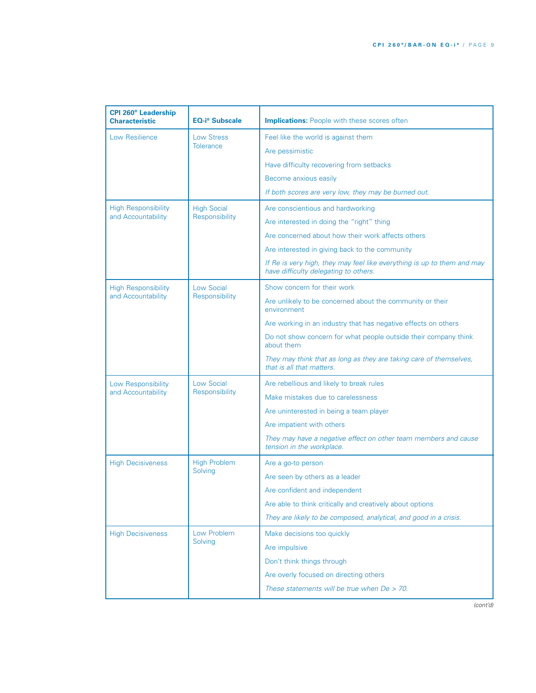| <b>CPI 260<sup>®</sup> Leadership</b><br><b>Characteristic</b> | <b>EQ-i<sup>®</sup></b> Subscale      | <b>Implications:</b> People with these scores often                                                              |
|----------------------------------------------------------------|---------------------------------------|------------------------------------------------------------------------------------------------------------------|
| Low Resilience                                                 | <b>Low Stress</b><br><b>Tolerance</b> | Feel like the world is against them                                                                              |
|                                                                |                                       | Are pessimistic                                                                                                  |
|                                                                |                                       | Have difficulty recovering from setbacks                                                                         |
|                                                                |                                       | Become anxious easily                                                                                            |
|                                                                |                                       | If both scores are very low, they may be burned out.                                                             |
| <b>High Responsibility</b>                                     | <b>High Social</b><br>Responsibility  | Are conscientious and hardworking                                                                                |
| and Accountability                                             |                                       | Are interested in doing the "right" thing                                                                        |
|                                                                |                                       | Are concerned about how their work affects others                                                                |
|                                                                |                                       | Are interested in giving back to the community                                                                   |
|                                                                |                                       | If Re is very high, they may feel like everything is up to them and may<br>have difficulty delegating to others. |
| <b>High Responsibility</b>                                     | <b>Low Social</b>                     | Show concern for their work                                                                                      |
| and Accountability                                             | Responsibility                        | Are unlikely to be concerned about the community or their<br>environment                                         |
|                                                                |                                       | Are working in an industry that has negative effects on others                                                   |
|                                                                |                                       | Do not show concern for what people outside their company think<br>about them                                    |
|                                                                |                                       | They may think that as long as they are taking care of themselves,<br>that is all that matters.                  |
| Low Responsibility                                             | <b>Low Social</b><br>Responsibility   | Are rebellious and likely to break rules                                                                         |
| and Accountability                                             |                                       | Make mistakes due to carelessness                                                                                |
|                                                                |                                       | Are uninterested in being a team player                                                                          |
|                                                                |                                       | Are impatient with others                                                                                        |
|                                                                |                                       | They may have a negative effect on other team members and cause<br>tension in the workplace.                     |
| <b>High Decisiveness</b>                                       | <b>High Problem</b><br>Solving        | Are a go-to person                                                                                               |
|                                                                |                                       | Are seen by others as a leader                                                                                   |
|                                                                |                                       | Are confident and independent                                                                                    |
|                                                                |                                       | Are able to think critically and creatively about options                                                        |
|                                                                |                                       | They are likely to be composed, analytical, and good in a crisis.                                                |
| <b>High Decisiveness</b>                                       | Low Problem<br>Solving                | Make decisions too quickly                                                                                       |
|                                                                |                                       | Are impulsive                                                                                                    |
|                                                                |                                       | Don't think things through                                                                                       |
|                                                                |                                       | Are overly focused on directing others                                                                           |
|                                                                |                                       | These statements will be true when $De > 70$ .                                                                   |

*(cont'd)*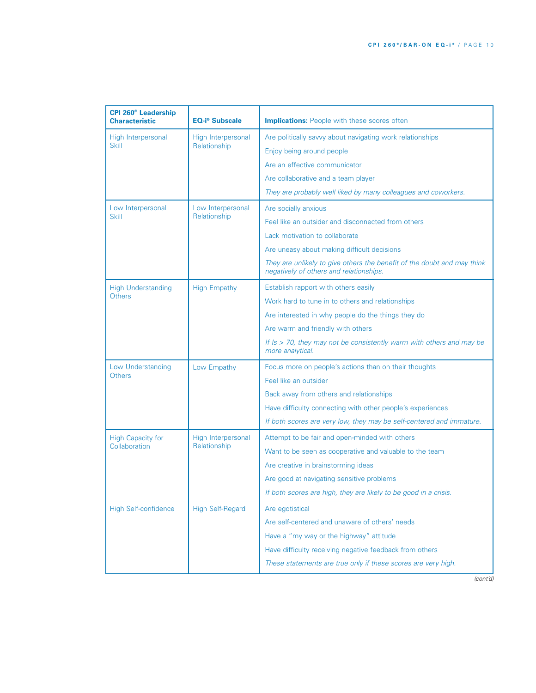| <b>CPI 260<sup>®</sup> Leadership</b><br><b>Characteristic</b> | <b>EQ-i<sup>®</sup> Subscale</b>   | <b>Implications:</b> People with these scores often                                                                |
|----------------------------------------------------------------|------------------------------------|--------------------------------------------------------------------------------------------------------------------|
| High Interpersonal<br><b>Skill</b>                             | High Interpersonal<br>Relationship | Are politically savvy about navigating work relationships                                                          |
|                                                                |                                    | Enjoy being around people                                                                                          |
|                                                                |                                    | Are an effective communicator                                                                                      |
|                                                                |                                    | Are collaborative and a team player                                                                                |
|                                                                |                                    | They are probably well liked by many colleagues and coworkers.                                                     |
| Low Interpersonal                                              | Low Interpersonal<br>Relationship  | Are socially anxious                                                                                               |
| <b>Skill</b>                                                   |                                    | Feel like an outsider and disconnected from others                                                                 |
|                                                                |                                    | Lack motivation to collaborate                                                                                     |
|                                                                |                                    | Are uneasy about making difficult decisions                                                                        |
|                                                                |                                    | They are unlikely to give others the benefit of the doubt and may think<br>negatively of others and relationships. |
| <b>High Understanding</b>                                      | <b>High Empathy</b>                | Establish rapport with others easily                                                                               |
| Others                                                         |                                    | Work hard to tune in to others and relationships                                                                   |
|                                                                |                                    | Are interested in why people do the things they do                                                                 |
|                                                                |                                    | Are warm and friendly with others                                                                                  |
|                                                                |                                    | If $Is > 70$ , they may not be consistently warm with others and may be<br>more analytical.                        |
| Low Understanding                                              | Low Empathy                        | Focus more on people's actions than on their thoughts                                                              |
| <b>Others</b>                                                  |                                    | Feel like an outsider                                                                                              |
|                                                                |                                    | Back away from others and relationships                                                                            |
|                                                                |                                    | Have difficulty connecting with other people's experiences                                                         |
|                                                                |                                    | If both scores are very low, they may be self-centered and immature.                                               |
| <b>High Capacity for</b>                                       | High Interpersonal<br>Relationship | Attempt to be fair and open-minded with others                                                                     |
| Collaboration                                                  |                                    | Want to be seen as cooperative and valuable to the team                                                            |
|                                                                |                                    | Are creative in brainstorming ideas                                                                                |
|                                                                |                                    | Are good at navigating sensitive problems                                                                          |
|                                                                |                                    | If both scores are high, they are likely to be good in a crisis.                                                   |
| <b>High Self-confidence</b>                                    | <b>High Self-Regard</b>            | Are egotistical                                                                                                    |
|                                                                |                                    | Are self-centered and unaware of others' needs                                                                     |
|                                                                |                                    | Have a "my way or the highway" attitude                                                                            |
|                                                                |                                    | Have difficulty receiving negative feedback from others                                                            |
|                                                                |                                    | These statements are true only if these scores are very high.                                                      |
|                                                                |                                    |                                                                                                                    |

*(cont'd)*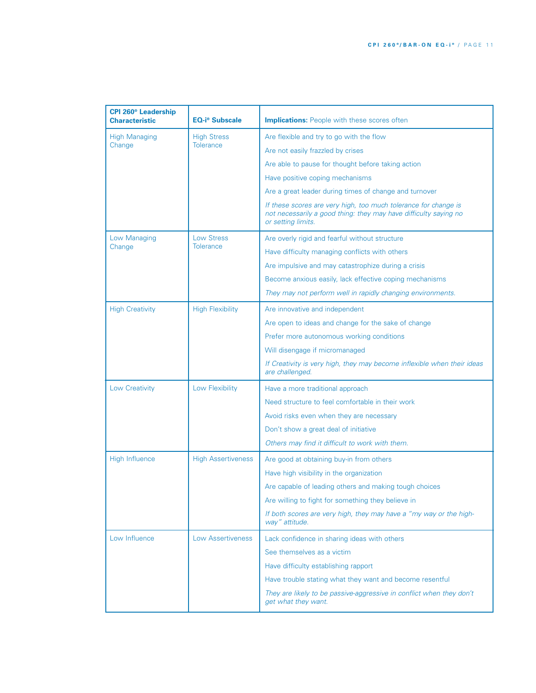| <b>CPI 260<sup>®</sup> Leadership</b><br><b>Characteristic</b> | <b>EQ-i<sup>®</sup> Subscale</b> | <b>Implications:</b> People with these scores often                                                                                                       |
|----------------------------------------------------------------|----------------------------------|-----------------------------------------------------------------------------------------------------------------------------------------------------------|
| <b>High Managing</b>                                           | <b>High Stress</b>               | Are flexible and try to go with the flow                                                                                                                  |
| Change                                                         | <b>Tolerance</b>                 | Are not easily frazzled by crises                                                                                                                         |
|                                                                |                                  | Are able to pause for thought before taking action                                                                                                        |
|                                                                |                                  | Have positive coping mechanisms                                                                                                                           |
|                                                                |                                  | Are a great leader during times of change and turnover                                                                                                    |
|                                                                |                                  | If these scores are very high, too much tolerance for change is<br>not necessarily a good thing: they may have difficulty saying no<br>or setting limits. |
| Low Managing                                                   | <b>Low Stress</b><br>Tolerance   | Are overly rigid and fearful without structure                                                                                                            |
| Change                                                         |                                  | Have difficulty managing conflicts with others                                                                                                            |
|                                                                |                                  | Are impulsive and may catastrophize during a crisis                                                                                                       |
|                                                                |                                  | Become anxious easily, lack effective coping mechanisms                                                                                                   |
|                                                                |                                  | They may not perform well in rapidly changing environments.                                                                                               |
| <b>High Creativity</b>                                         | <b>High Flexibility</b>          | Are innovative and independent                                                                                                                            |
|                                                                |                                  | Are open to ideas and change for the sake of change                                                                                                       |
|                                                                |                                  | Prefer more autonomous working conditions                                                                                                                 |
|                                                                |                                  | Will disengage if micromanaged                                                                                                                            |
|                                                                |                                  | If Creativity is very high, they may become inflexible when their ideas<br>are challenged.                                                                |
| <b>Low Creativity</b>                                          | Low Flexibility                  | Have a more traditional approach                                                                                                                          |
|                                                                |                                  | Need structure to feel comfortable in their work                                                                                                          |
|                                                                |                                  | Avoid risks even when they are necessary                                                                                                                  |
|                                                                |                                  | Don't show a great deal of initiative                                                                                                                     |
|                                                                |                                  | Others may find it difficult to work with them.                                                                                                           |
| <b>High Influence</b>                                          | <b>High Assertiveness</b>        | Are good at obtaining buy-in from others                                                                                                                  |
|                                                                |                                  | Have high visibility in the organization                                                                                                                  |
|                                                                |                                  | Are capable of leading others and making tough choices                                                                                                    |
|                                                                |                                  | Are willing to fight for something they believe in                                                                                                        |
|                                                                |                                  | If both scores are very high, they may have a "my way or the high-<br>way" attitude.                                                                      |
| Low Influence                                                  | <b>Low Assertiveness</b>         | Lack confidence in sharing ideas with others                                                                                                              |
|                                                                |                                  | See themselves as a victim                                                                                                                                |
|                                                                |                                  | Have difficulty establishing rapport                                                                                                                      |
|                                                                |                                  | Have trouble stating what they want and become resentful                                                                                                  |
|                                                                |                                  | They are likely to be passive-aggressive in conflict when they don't<br>get what they want.                                                               |